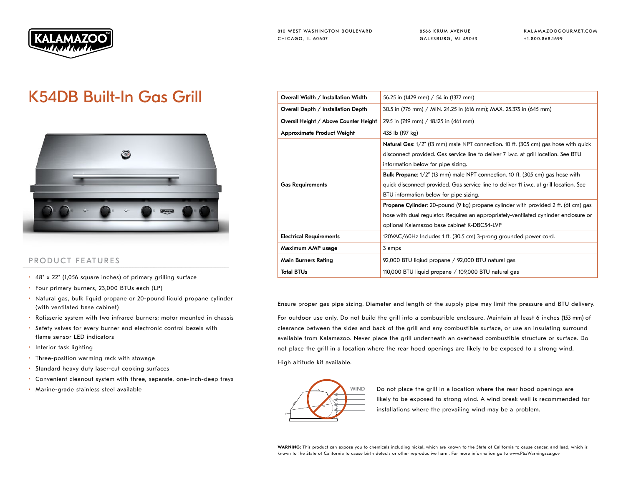

8566 KRUM AVENUE GALESBURG, MI 49053 KALAMAZOOGOURMET.COM +1.800.868.1699

## K54DB Built-In Gas Grill



## PRODUCT FEATURES

- 48" x 22" (1,056 square inches) of primary grilling surface
- Four primary burners, 23,000 BTUs each (LP)
- Natural gas, bulk liquid propane or 20-pound liquid propane cylinder (with ventilated base cabinet)
- Rotisserie system with two infrared burners; motor mounted in chassis
- Safety valves for every burner and electronic control bezels with flame sensor LED indicators
- Interior task lighting
- Three-position warming rack with stowage
- Standard heavy duty laser-cut cooking surfaces
- Convenient cleanout system with three, separate, one-inch-deep trays
- Marine-grade stainless steel available

| Overall Width / Installation Width    | 56.25 in (1429 mm) / 54 in (1372 mm)                                                                                                                                                                                             |  |  |  |
|---------------------------------------|----------------------------------------------------------------------------------------------------------------------------------------------------------------------------------------------------------------------------------|--|--|--|
| Overall Depth / Installation Depth    | 30.5 in (776 mm) / MIN. 24.25 in (616 mm); MAX. 25.375 in (645 mm)<br>29.5 in (749 mm) / 18.125 in (461 mm)<br>435 lb (197 kg)                                                                                                   |  |  |  |
| Overall Height / Above Counter Height |                                                                                                                                                                                                                                  |  |  |  |
| <b>Approximate Product Weight</b>     |                                                                                                                                                                                                                                  |  |  |  |
|                                       | <b>Natural Gas:</b> 1/2" (13 mm) male NPT connection. 10 ft. (305 cm) gas hose with quick<br>disconnect provided. Gas service line to deliver 7 i.w.c. at grill location. See BTU<br>information below for pipe sizing.          |  |  |  |
| <b>Gas Requirements</b>               | Bulk Propane: 1/2" (13 mm) male NPT connection. 10 ft. (305 cm) gas hose with<br>quick disconnect provided. Gas service line to deliver 11 i.w.c. at grill location. See<br>BTU information below for pipe sizing.               |  |  |  |
|                                       | <b>Propane Cylinder:</b> 20-pound (9 kg) propane cylinder with provided 2 ft. (61 cm) gas<br>hose with dual regulator. Requires an appropriately-ventilated cyninder enclosure or<br>optional Kalamazoo base cabinet K-DBC54-LVP |  |  |  |
| <b>Electrical Requirements</b>        | 120VAC/60Hz Includes 1 ft. (30.5 cm) 3-prong grounded power cord.                                                                                                                                                                |  |  |  |
| Maximum AMP usage                     | 3 amps                                                                                                                                                                                                                           |  |  |  |
| <b>Main Burners Rating</b>            | 92,000 BTU liqiud propane / 92,000 BTU natural gas                                                                                                                                                                               |  |  |  |
| <b>Total BTUs</b>                     | 110,000 BTU liquid propane / 109,000 BTU natural gas                                                                                                                                                                             |  |  |  |

Ensure proper gas pipe sizing. Diameter and length of the supply pipe may limit the pressure and BTU delivery.

For outdoor use only. Do not build the grill into a combustible enclosure. Maintain at least 6 inches (153 mm) of clearance between the sides and back of the grill and any combustible surface, or use an insulating surround available from Kalamazoo. Never place the grill underneath an overhead combustible structure or surface. Do not place the grill in a location where the rear hood openings are likely to be exposed to a strong wind.

High altitude kit available.



WIND Do not place the grill in a location where the rear hood openings are likely to be exposed to strong wind. A wind break wall is recommended for installations where the prevailing wind may be a problem.

WARNING: This product can expose you to chemicals including nickel, which are known to the State of California to cause cancer, and lead, which is known to the State of California to cause birth defects or other reproductive harm. For more information go to www.P65Warningsca.gov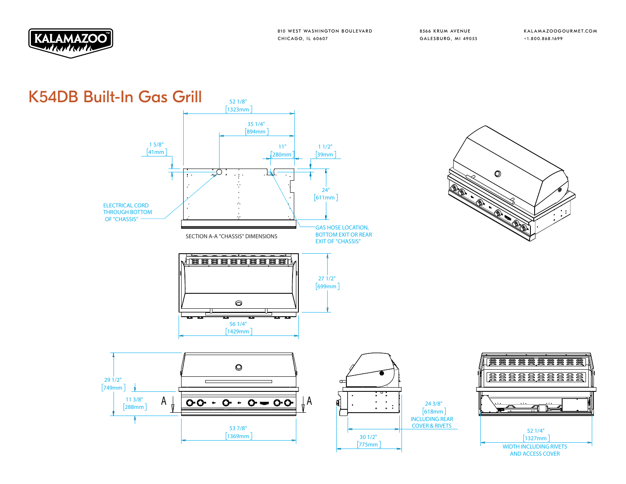

8566 KRUM AVENUE GALESBURG, MI 49053

 $\circ$ 

J.

KALAMAZOOGOURMET.COM +1.800.868.1699